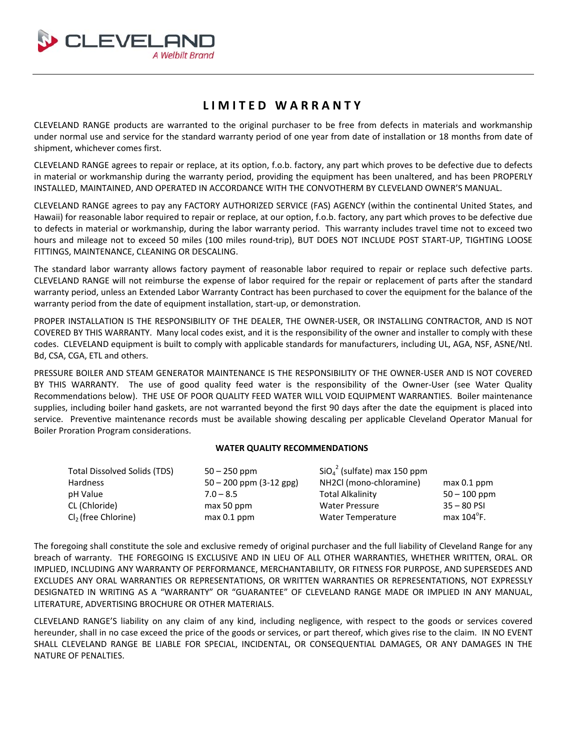

# **LIMITED WARRANTY**

CLEVELAND RANGE products are warranted to the original purchaser to be free from defects in materials and workmanship under normal use and service for the standard warranty period of one year from date of installation or 18 months from date of shipment, whichever comes first.

CLEVELAND RANGE agrees to repair or replace, at its option, f.o.b. factory, any part which proves to be defective due to defects in material or workmanship during the warranty period, providing the equipment has been unaltered, and has been PROPERLY INSTALLED, MAINTAINED, AND OPERATED IN ACCORDANCE WITH THE CONVOTHERM BY CLEVELAND OWNER'S MANUAL.

CLEVELAND RANGE agrees to pay any FACTORY AUTHORIZED SERVICE (FAS) AGENCY (within the continental United States, and Hawaii) for reasonable labor required to repair or replace, at our option, f.o.b. factory, any part which proves to be defective due to defects in material or workmanship, during the labor warranty period. This warranty includes travel time not to exceed two hours and mileage not to exceed 50 miles (100 miles round-trip), BUT DOES NOT INCLUDE POST START-UP, TIGHTING LOOSE FITTINGS, MAINTENANCE, CLEANING OR DESCALING.

The standard labor warranty allows factory payment of reasonable labor required to repair or replace such defective parts. CLEVELAND RANGE will not reimburse the expense of labor required for the repair or replacement of parts after the standard warranty period, unless an Extended Labor Warranty Contract has been purchased to cover the equipment for the balance of the warranty period from the date of equipment installation, start-up, or demonstration.

PROPER INSTALLATION IS THE RESPONSIBILITY OF THE DEALER, THE OWNER‐USER, OR INSTALLING CONTRACTOR, AND IS NOT COVERED BY THIS WARRANTY. Many local codes exist, and it is the responsibility of the owner and installer to comply with these codes. CLEVELAND equipment is built to comply with applicable standards for manufacturers, including UL, AGA, NSF, ASNE/Ntl. Bd, CSA, CGA, ETL and others.

PRESSURE BOILER AND STEAM GENERATOR MAINTENANCE IS THE RESPONSIBILITY OF THE OWNER‐USER AND IS NOT COVERED BY THIS WARRANTY. The use of good quality feed water is the responsibility of the Owner-User (see Water Quality Recommendations below). THE USE OF POOR QUALITY FEED WATER WILL VOID EQUIPMENT WARRANTIES. Boiler maintenance supplies, including boiler hand gaskets, are not warranted beyond the first 90 days after the date the equipment is placed into service. Preventive maintenance records must be available showing descaling per applicable Cleveland Operator Manual for Boiler Proration Program considerations.

#### **WATER QUALITY RECOMMENDATIONS**

| <b>Total Dissolved Solids (TDS)</b> | $50 - 250$ ppm              | $SiO42$ (sulfate) max 150 ppm |                      |
|-------------------------------------|-----------------------------|-------------------------------|----------------------|
| Hardness                            | $50 - 200$ ppm $(3-12$ gpg) | NH2Cl (mono-chloramine)       | $max 0.1$ ppm        |
| pH Value                            | $7.0 - 8.5$                 | <b>Total Alkalinity</b>       | $50 - 100$ ppm       |
| CL (Chloride)                       | max 50 ppm                  | <b>Water Pressure</b>         | $35 - 80$ PSI        |
| Cl <sub>2</sub> (free Chlorine)     | $max 0.1$ ppm               | <b>Water Temperature</b>      | max $104^{\circ}$ F. |

The foregoing shall constitute the sole and exclusive remedy of original purchaser and the full liability of Cleveland Range for any breach of warranty. THE FOREGOING IS EXCLUSIVE AND IN LIEU OF ALL OTHER WARRANTIES, WHETHER WRITTEN, ORAL. OR IMPLIED, INCLUDING ANY WARRANTY OF PERFORMANCE, MERCHANTABILITY, OR FITNESS FOR PURPOSE, AND SUPERSEDES AND EXCLUDES ANY ORAL WARRANTIES OR REPRESENTATIONS, OR WRITTEN WARRANTIES OR REPRESENTATIONS, NOT EXPRESSLY DESIGNATED IN WRITING AS A "WARRANTY" OR "GUARANTEE" OF CLEVELAND RANGE MADE OR IMPLIED IN ANY MANUAL, LITERATURE, ADVERTISING BROCHURE OR OTHER MATERIALS.

CLEVELAND RANGE'S liability on any claim of any kind, including negligence, with respect to the goods or services covered hereunder, shall in no case exceed the price of the goods or services, or part thereof, which gives rise to the claim. IN NO EVENT SHALL CLEVELAND RANGE BE LIABLE FOR SPECIAL, INCIDENTAL, OR CONSEQUENTIAL DAMAGES, OR ANY DAMAGES IN THE NATURE OF PENALTIES.